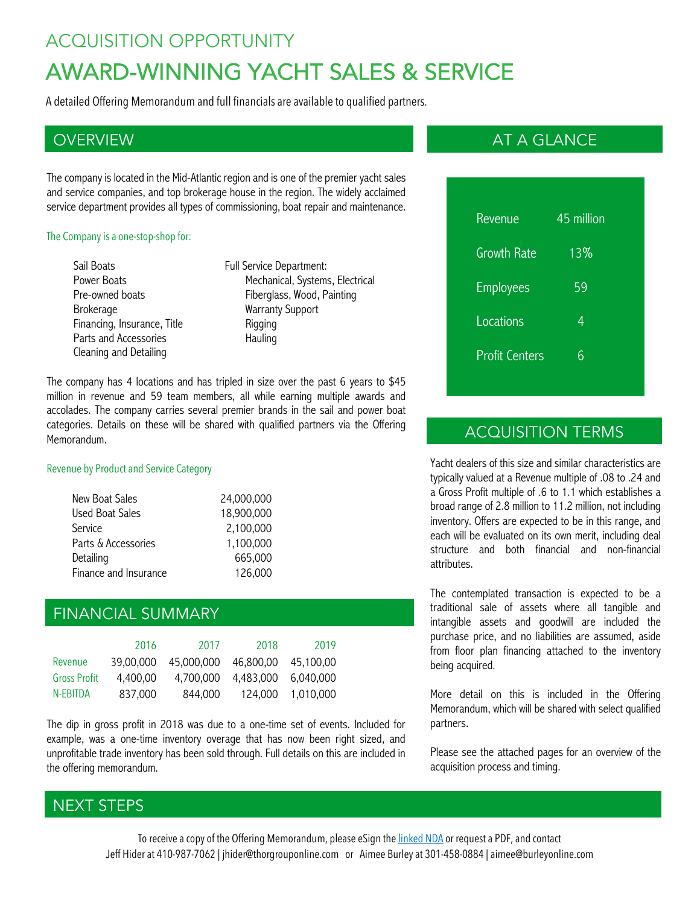## ACQUISITION OPPORTUNITY

# AWARD-WINNING YACHT SALES & SERVICE

A detailed Offering Memorandum and full financials are available to qualified partners.

The company is located in the Mid-Atlantic region and is one of the premier yacht sales and service companies, and top brokerage house in the region. The widely acclaimed service department provides all types of commissioning, boat repair and maintenance.

#### The Company is a one-stop-shop for:

- Sail Boats Power Boats Pre-owned boats Brokerage Financing, Insurance, Title Parts and Accessories Cleaning and Detailing
- Full Service Department: Mechanical, Systems, Electrical Fiberglass, Wood, Painting Warranty Support Rigging Hauling

The company has 4 locations and has tripled in size over the past 6 years to \$45 million in revenue and 59 team members, all while earning multiple awards and accolades. The company carries several premier brands in the sail and power boat categories. Details on these will be shared with qualified partners via the Offering Memorandum.

#### Revenue by Product and Service Category

| New Boat Sales        | 24,000,000 |
|-----------------------|------------|
| Used Boat Sales       | 18,900,000 |
| Service               | 2,100,000  |
| Parts & Accessories   | 1,100,000  |
| Detailing             | 665,000    |
| Finance and Insurance | 126,000    |

## FINANCIAL SUMMARY

|                     | 2016      | 2017       | 2018      | 2019      |
|---------------------|-----------|------------|-----------|-----------|
| Revenue             | 39.00.000 | 45,000,000 | 46,800,00 | 45.100.00 |
| <b>Gross Profit</b> | 4.400.00  | 4.700.000  | 4.483.000 | 6.040.000 |
| N-FRITDA            | 837,000   | 844,000    | 124.000   | 1.010.000 |

The dip in gross profit in 2018 was due to a one-time set of events. Included for example, was a one-time inventory overage that has now been right sized, and unprofitable trade inventory has been sold through. Full details on this are included in the offering memorandum.

## OVERVIEW AT A GLANCE AND A GLANCE AND A GLANCE AND A GLANCE AND A GLANCE AND A GLANCE

| Revenue               | 45 million |  |
|-----------------------|------------|--|
| <b>Growth Rate</b>    | 13%        |  |
| <b>Employees</b>      | 59         |  |
| Locations             | 4          |  |
| <b>Profit Centers</b> | հ          |  |
|                       |            |  |

## ACQUISITION TERMS

Yacht dealers of this size and similar characteristics are typically valued at a Revenue multiple of .08 to .24 and a Gross Profit multiple of .6 to 1.1 which establishes a broad range of 2.8 million to 11.2 million, not including inventory. Offers are expected to be in this range, and each will be evaluated on its own merit, including deal structure and both financial and non-financial attributes.

The contemplated transaction is expected to be a traditional sale of assets where all tangible and intangible assets and goodwill are included the purchase price, and no liabilities are assumed, aside from floor plan financing attached to the inventory being acquired.

More detail on this is included in the Offering Memorandum, which will be shared with select qualified partners.

Please see the attached pages for an overview of the acquisition process and timing.

## NEXT STEPS

To receive a copy of the Offering Memorandum, please eSign the *linked NDA* or request a PDF, and contact Jeff Hider at 410-987-7062 | jhider@thorgrouponline.com or Aimee Burley at 301-458-0884 | aimee@burleyonline.com